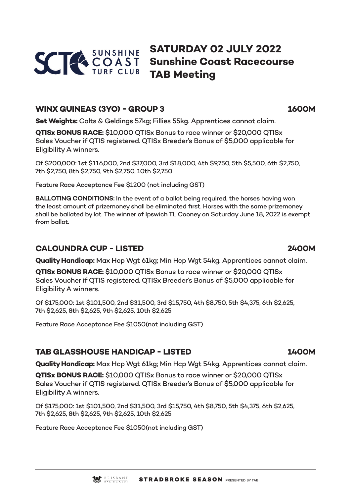

# **SATURDAY 02 JULY 2022 Sunshine Coast Racecourse TAB Meeting**

## **WINX GUINEAS (3YO) - GROUP 3 1600M**

**Set Weights:** Colts & Geldings 57kg; Fillies 55kg. Apprentices cannot claim.

**QTISx BONUS RACE:** \$10,000 QTISx Bonus to race winner or \$20,000 QTISx Sales Voucher if QTIS registered. QTISx Breeder's Bonus of \$5,000 applicable for Eligibility A winners.

Of \$200,000: 1st \$116,000, 2nd \$37,000, 3rd \$18,000, 4th \$9,750, 5th \$5,500, 6th \$2,750, 7th \$2,750, 8th \$2,750, 9th \$2,750, 10th \$2,750

Feature Race Acceptance Fee \$1200 (not including GST)

**BALLOTING CONDITIONS:** In the event of a ballot being required, the horses having won the least amount of prizemoney shall be eliminated first. Horses with the same prizemoney shall be balloted by lot. The winner of Ipswich TL Cooney on Saturday June 18, 2022 is exempt from ballot.

## **CALOUNDRA CUP - LISTED 2400M**

**Quality Handicap:** Max Hcp Wgt 61kg; Min Hcp Wgt 54kg. Apprentices cannot claim.

**QTISx BONUS RACE:** \$10,000 QTISx Bonus to race winner or \$20,000 QTISx Sales Voucher if QTIS registered. QTISx Breeder's Bonus of \$5,000 applicable for Eligibility A winners.

Of \$175,000: 1st \$101,500, 2nd \$31,500, 3rd \$15,750, 4th \$8,750, 5th \$4,375, 6th \$2,625, 7th \$2,625, 8th \$2,625, 9th \$2,625, 10th \$2,625

Feature Race Acceptance Fee \$1050(not including GST)

## **TAB GLASSHOUSE HANDICAP - LISTED 1400M**

**Quality Handicap:** Max Hcp Wgt 61kg; Min Hcp Wgt 54kg. Apprentices cannot claim.

**QTISx BONUS RACE:** \$10,000 QTISx Bonus to race winner or \$20,000 QTISx Sales Voucher if QTIS registered. QTISx Breeder's Bonus of \$5,000 applicable for Eligibility A winners.

Of \$175,000: 1st \$101,500, 2nd \$31,500, 3rd \$15,750, 4th \$8,750, 5th \$4,375, 6th \$2,625, 7th \$2,625, 8th \$2,625, 9th \$2,625, 10th \$2,625

Feature Race Acceptance Fee \$1050(not including GST)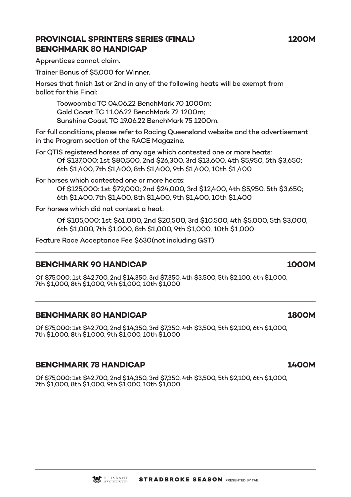## **PROVINCIAL SPRINTERS SERIES (FINAL) 1200M BENCHMARK 80 HANDICAP**

Apprentices cannot claim.

Trainer Bonus of \$5,000 for Winner.

Horses that finish 1st or 2nd in any of the following heats will be exempt from ballot for this Final:

Toowoomba TC 04.06.22 BenchMark 70 1000m; Gold Coast TC 11.06.22 BenchMark 72 1200m; Sunshine Coast TC 19.06.22 BenchMark 75 1200m.

For full conditions, please refer to Racing Queensland website and the advertisement in the Program section of the RACE Magazine.

For QTIS registered horses of any age which contested one or more heats: Of \$137,000: 1st \$80,500, 2nd \$26,300, 3rd \$13,600, 4th \$5,950, 5th \$3,650; 6th \$1,400, 7th \$1,400, 8th \$1,400, 9th \$1,400, 10th \$1,400

For horses which contested one or more heats: Of \$125,000: 1st \$72,000; 2nd \$24,000, 3rd \$12,400, 4th \$5,950, 5th \$3,650; 6th \$1,400, 7th \$1,400, 8th \$1,400, 9th \$1,400, 10th \$1,400

For horses which did not contest a heat:

Of \$105,000: 1st \$61,000, 2nd \$20,500, 3rd \$10,500, 4th \$5,000, 5th \$3,000, 6th \$1,000, 7th \$1,000, 8th \$1,000, 9th \$1,000, 10th \$1,000

Feature Race Acceptance Fee \$630(not including GST)

## **BENCHMARK 90 HANDICAP 1000M**

Of \$75,000: 1st \$42,700, 2nd \$14,350, 3rd \$7,350, 4th \$3,500, 5th \$2,100, 6th \$1,000, 7th \$1,000, 8th \$1,000, 9th \$1,000, 10th \$1,000

## **BENCHMARK 80 HANDICAP 1800M**

Of \$75,000: 1st \$42,700, 2nd \$14,350, 3rd \$7,350, 4th \$3,500, 5th \$2,100, 6th \$1,000, 7th \$1,000, 8th \$1,000, 9th \$1,000, 10th \$1,000

## **BENCHMARK 78 HANDICAP 1400M**

Of \$75,000: 1st \$42,700, 2nd \$14,350, 3rd \$7,350, 4th \$3,500, 5th \$2,100, 6th \$1,000, 7th \$1,000, 8th \$1,000, 9th \$1,000, 10th \$1,000